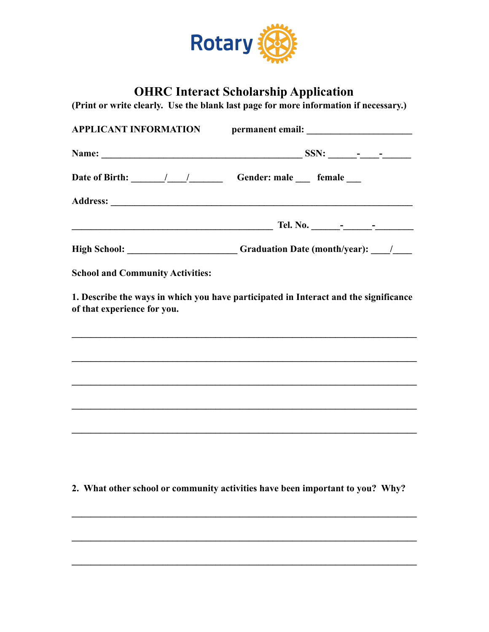

## **OHRC Interact Scholarship Application**

**(Print or write clearly. Use the blank last page for more information if necessary.)** 

|                                         | Date of Birth: ________/_____/_____________Gender: male ______ female ____                                                                      |  |
|-----------------------------------------|-------------------------------------------------------------------------------------------------------------------------------------------------|--|
|                                         |                                                                                                                                                 |  |
|                                         |                                                                                                                                                 |  |
|                                         | High School: _______________________Graduation Date (month/year): ______________                                                                |  |
| <b>School and Community Activities:</b> |                                                                                                                                                 |  |
| of that experience for you.             | 1. Describe the ways in which you have participated in Interact and the significance                                                            |  |
|                                         |                                                                                                                                                 |  |
|                                         |                                                                                                                                                 |  |
|                                         | ,我们也不能在这里的时候,我们也不能在这里的时候,我们也不能会不能会不能会不能会不能会不能会不能会不能会不能会不能会。<br>第2012章 我们的时候,我们的时候,我们的时候,我们的时候,我们的时候,我们的时候,我们的时候,我们的时候,我们的时候,我们的时候,我们的时候,我们的时候,我 |  |
|                                         | ,我们也不会有什么。""我们的人,我们也不会有什么?""我们的人,我们也不会有什么?""我们的人,我们也不会有什么?""我们的人,我们也不会有什么?""我们的人                                                                |  |
|                                         |                                                                                                                                                 |  |
|                                         |                                                                                                                                                 |  |
|                                         |                                                                                                                                                 |  |

**2. What other school or community activities have been important to you? Why?** 

 $\mathcal{L}_\mathcal{L} = \{ \mathcal{L}_\mathcal{L} = \{ \mathcal{L}_\mathcal{L} = \{ \mathcal{L}_\mathcal{L} = \{ \mathcal{L}_\mathcal{L} = \{ \mathcal{L}_\mathcal{L} = \{ \mathcal{L}_\mathcal{L} = \{ \mathcal{L}_\mathcal{L} = \{ \mathcal{L}_\mathcal{L} = \{ \mathcal{L}_\mathcal{L} = \{ \mathcal{L}_\mathcal{L} = \{ \mathcal{L}_\mathcal{L} = \{ \mathcal{L}_\mathcal{L} = \{ \mathcal{L}_\mathcal{L} = \{ \mathcal{L}_\mathcal{$ 

 $\mathcal{L}_\mathcal{L} = \{ \mathcal{L}_\mathcal{L} = \{ \mathcal{L}_\mathcal{L} = \{ \mathcal{L}_\mathcal{L} = \{ \mathcal{L}_\mathcal{L} = \{ \mathcal{L}_\mathcal{L} = \{ \mathcal{L}_\mathcal{L} = \{ \mathcal{L}_\mathcal{L} = \{ \mathcal{L}_\mathcal{L} = \{ \mathcal{L}_\mathcal{L} = \{ \mathcal{L}_\mathcal{L} = \{ \mathcal{L}_\mathcal{L} = \{ \mathcal{L}_\mathcal{L} = \{ \mathcal{L}_\mathcal{L} = \{ \mathcal{L}_\mathcal{$ 

 $\mathcal{L}_\mathcal{L} = \{ \mathcal{L}_\mathcal{L} = \{ \mathcal{L}_\mathcal{L} = \{ \mathcal{L}_\mathcal{L} = \{ \mathcal{L}_\mathcal{L} = \{ \mathcal{L}_\mathcal{L} = \{ \mathcal{L}_\mathcal{L} = \{ \mathcal{L}_\mathcal{L} = \{ \mathcal{L}_\mathcal{L} = \{ \mathcal{L}_\mathcal{L} = \{ \mathcal{L}_\mathcal{L} = \{ \mathcal{L}_\mathcal{L} = \{ \mathcal{L}_\mathcal{L} = \{ \mathcal{L}_\mathcal{L} = \{ \mathcal{L}_\mathcal{$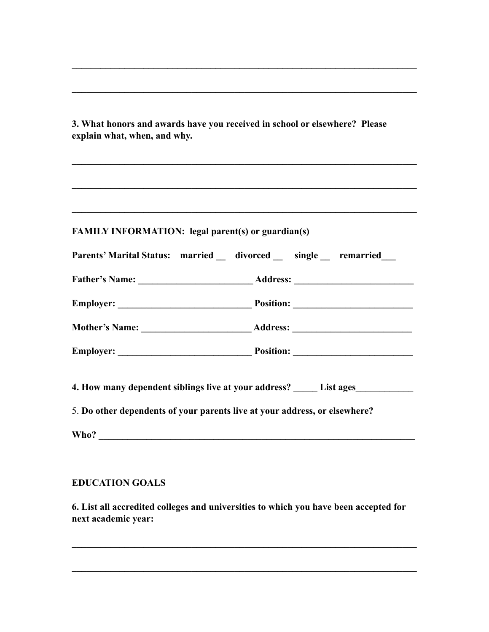**3. What honors and awards have you received in school or elsewhere? Please explain what, when, and why.** 

**\_\_\_\_\_\_\_\_\_\_\_\_\_\_\_\_\_\_\_\_\_\_\_\_\_\_\_\_\_\_\_\_\_\_\_\_\_\_\_\_\_\_\_\_\_\_\_\_\_\_\_\_\_\_\_\_\_\_\_\_\_\_\_\_\_\_\_\_\_\_\_\_** 

**\_\_\_\_\_\_\_\_\_\_\_\_\_\_\_\_\_\_\_\_\_\_\_\_\_\_\_\_\_\_\_\_\_\_\_\_\_\_\_\_\_\_\_\_\_\_\_\_\_\_\_\_\_\_\_\_\_\_\_\_\_\_\_\_\_\_\_\_\_\_\_\_** 

**\_\_\_\_\_\_\_\_\_\_\_\_\_\_\_\_\_\_\_\_\_\_\_\_\_\_\_\_\_\_\_\_\_\_\_\_\_\_\_\_\_\_\_\_\_\_\_\_\_\_\_\_\_\_\_\_\_\_\_\_\_\_\_\_\_\_\_\_\_\_\_\_** 

| <b>FAMILY INFORMATION: legal parent(s) or guardian(s)</b>                        |  |
|----------------------------------------------------------------------------------|--|
| Parents' Marital Status: married _ divorced _ single _ remarried __              |  |
|                                                                                  |  |
|                                                                                  |  |
|                                                                                  |  |
|                                                                                  |  |
| 4. How many dependent siblings live at your address? ______ List ages___________ |  |
| 5. Do other dependents of your parents live at your address, or elsewhere?       |  |

## **EDUCATION GOALS**

**6. List all accredited colleges and universities to which you have been accepted for next academic year:** 

**\_\_\_\_\_\_\_\_\_\_\_\_\_\_\_\_\_\_\_\_\_\_\_\_\_\_\_\_\_\_\_\_\_\_\_\_\_\_\_\_\_\_\_\_\_\_\_\_\_\_\_\_\_\_\_\_\_\_\_\_\_\_\_\_\_\_\_\_\_\_\_\_** 

**\_\_\_\_\_\_\_\_\_\_\_\_\_\_\_\_\_\_\_\_\_\_\_\_\_\_\_\_\_\_\_\_\_\_\_\_\_\_\_\_\_\_\_\_\_\_\_\_\_\_\_\_\_\_\_\_\_\_\_\_\_\_\_\_\_\_\_\_\_\_\_\_**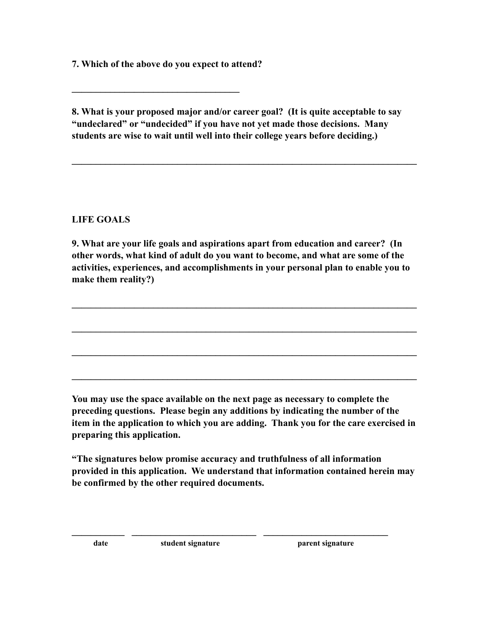**7. Which of the above do you expect to attend?** 

**\_\_\_\_\_\_\_\_\_\_\_\_\_\_\_\_\_\_\_\_\_\_\_\_\_\_\_\_\_\_\_\_\_\_\_** 

**8. What is your proposed major and/or career goal? (It is quite acceptable to say "undeclared" or "undecided" if you have not yet made those decisions. Many students are wise to wait until well into their college years before deciding.)** 

**\_\_\_\_\_\_\_\_\_\_\_\_\_\_\_\_\_\_\_\_\_\_\_\_\_\_\_\_\_\_\_\_\_\_\_\_\_\_\_\_\_\_\_\_\_\_\_\_\_\_\_\_\_\_\_\_\_\_\_\_\_\_\_\_\_\_\_\_\_\_\_\_** 

**LIFE GOALS** 

**9. What are your life goals and aspirations apart from education and career? (In other words, what kind of adult do you want to become, and what are some of the activities, experiences, and accomplishments in your personal plan to enable you to make them reality?)** 

**\_\_\_\_\_\_\_\_\_\_\_\_\_\_\_\_\_\_\_\_\_\_\_\_\_\_\_\_\_\_\_\_\_\_\_\_\_\_\_\_\_\_\_\_\_\_\_\_\_\_\_\_\_\_\_\_\_\_\_\_\_\_\_\_\_\_\_\_\_\_\_\_** 

**\_\_\_\_\_\_\_\_\_\_\_\_\_\_\_\_\_\_\_\_\_\_\_\_\_\_\_\_\_\_\_\_\_\_\_\_\_\_\_\_\_\_\_\_\_\_\_\_\_\_\_\_\_\_\_\_\_\_\_\_\_\_\_\_\_\_\_\_\_\_\_\_** 

**\_\_\_\_\_\_\_\_\_\_\_\_\_\_\_\_\_\_\_\_\_\_\_\_\_\_\_\_\_\_\_\_\_\_\_\_\_\_\_\_\_\_\_\_\_\_\_\_\_\_\_\_\_\_\_\_\_\_\_\_\_\_\_\_\_\_\_\_\_\_\_\_** 

**\_\_\_\_\_\_\_\_\_\_\_\_\_\_\_\_\_\_\_\_\_\_\_\_\_\_\_\_\_\_\_\_\_\_\_\_\_\_\_\_\_\_\_\_\_\_\_\_\_\_\_\_\_\_\_\_\_\_\_\_\_\_\_\_\_\_\_\_\_\_\_\_** 

**You may use the space available on the next page as necessary to complete the preceding questions. Please begin any additions by indicating the number of the item in the application to which you are adding. Thank you for the care exercised in preparing this application.** 

**"The signatures below promise accuracy and truthfulness of all information provided in this application. We understand that information contained herein may be confirmed by the other required documents.** 

**\_\_\_\_\_\_\_\_\_\_\_ \_\_\_\_\_\_\_\_\_\_\_\_\_\_\_\_\_\_\_\_\_\_\_\_\_\_ \_\_\_\_\_\_\_\_\_\_\_\_\_\_\_\_\_\_\_\_\_\_\_\_\_\_**